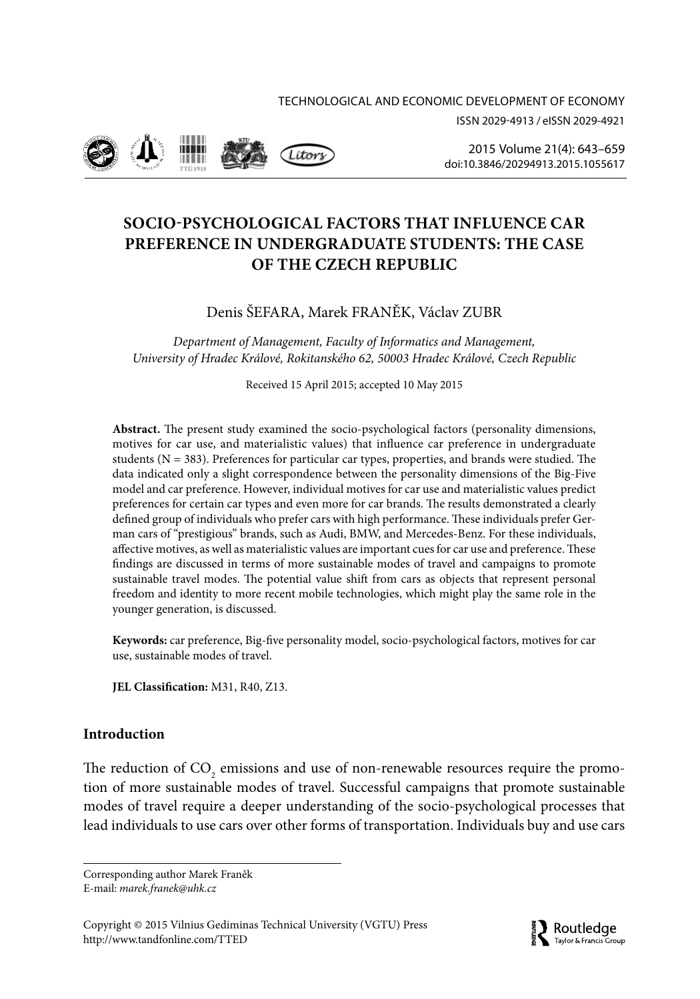ISSN 2029-4913 / eISSN 2029-4921



2015 Volume 21(4): 643–659 [doi:10.3846/20294913.2015.1055617](http://dx.doi.org/10.3846/20294913.2015.1055617)

# **SOCIO-PSYCHOLOGICAL FACTORS THAT INFLUENCE CAR PREFERENCE IN UNDERGRADUATE STUDENTS: THE CASE OF THE CZECH REPUBLIC**

## Denis ŠEFARA, Marek FRANĚK, Václav ZUBR

*Department of Management, Faculty of Informatics and Management, University of Hradec Králové, Rokitanského 62, 50003 Hradec Králové, Czech Republic*

Received 15 April 2015; accepted 10 May 2015

**Abstract.** The present study examined the socio-psychological factors (personality dimensions, motives for car use, and materialistic values) that influence car preference in undergraduate students ( $N = 383$ ). Preferences for particular car types, properties, and brands were studied. The data indicated only a slight correspondence between the personality dimensions of the Big-Five model and car preference. However, individual motives for car use and materialistic values predict preferences for certain car types and even more for car brands. The results demonstrated a clearly defined group of individuals who prefer cars with high performance. These individuals prefer German cars of "prestigious" brands, such as Audi, BMW, and Mercedes-Benz. For these individuals, affective motives, as well as materialistic values are important cues for car use and preference. These findings are discussed in terms of more sustainable modes of travel and campaigns to promote sustainable travel modes. The potential value shift from cars as objects that represent personal freedom and identity to more recent mobile technologies, which might play the same role in the younger generation, is discussed.

**Keywords:** car preference, Big-five personality model, socio-psychological factors, motives for car use, sustainable modes of travel.

**JEL Classification:** M31, R40, Z13.

### **Introduction**

The reduction of  $\mathrm{CO}_2$  emissions and use of non-renewable resources require the promotion of more sustainable modes of travel. Successful campaigns that promote sustainable modes of travel require a deeper understanding of the socio-psychological processes that lead individuals to use cars over other forms of transportation. Individuals buy and use cars

Corresponding author Marek Franěk E-mail: *marek.franek@uhk.cz*

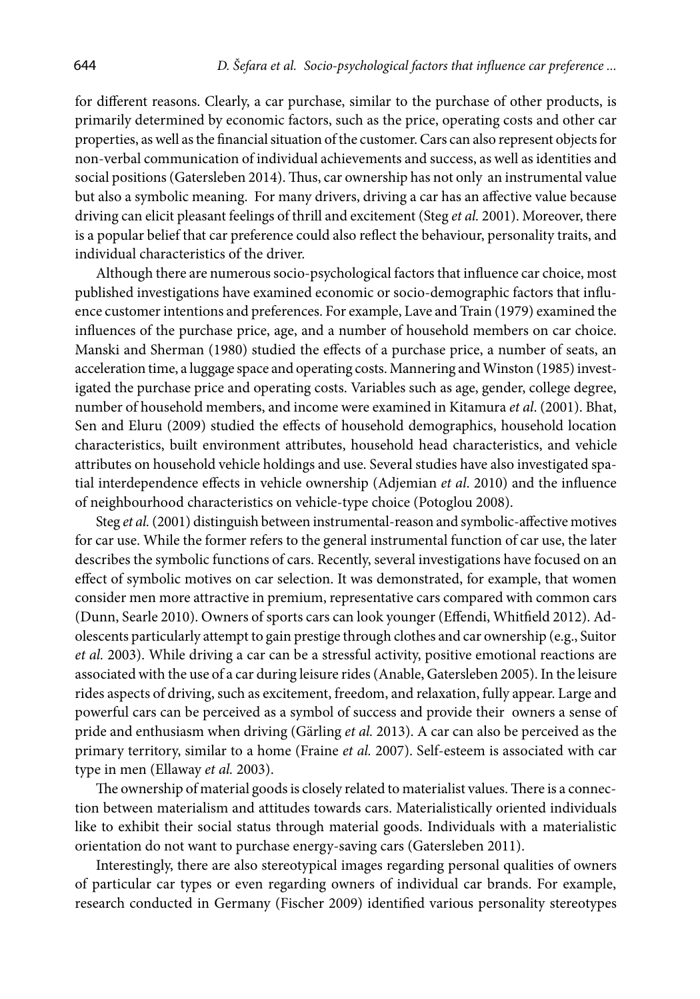for different reasons. Clearly, a car purchase, similar to the purchase of other products, is primarily determined by economic factors, such as the price, operating costs and other car properties, as well as the financial situation of the customer. Cars can also represent objects for non-verbal communication of individual achievements and success, as well as identities and social positions (Gatersleben 2014). Thus, car ownership has not only an instrumental value but also a symbolic meaning. For many drivers, driving a car has an affective value because driving can elicit pleasant feelings of thrill and excitement (Steg *et al.* 2001). Moreover, there is a popular belief that car preference could also reflect the behaviour, personality traits, and individual characteristics of the driver.

Although there are numerous socio-psychological factors that influence car choice, most published investigations have examined economic or socio-demographic factors that influence customer intentions and preferences. For example, Lave and Train (1979) examined the influences of the purchase price, age, and a number of household members on car choice. Manski and Sherman (1980) studied the effects of a purchase price, a number of seats, an acceleration time, a luggage space and operating costs. Mannering and Winston (1985) investigated the purchase price and operating costs. Variables such as age, gender, college degree, number of household members, and income were examined in Kitamura *et al*. (2001). Bhat, Sen and Eluru (2009) studied the effects of household demographics, household location characteristics, built environment attributes, household head characteristics, and vehicle attributes on household vehicle holdings and use. Several studies have also investigated spatial interdependence effects in vehicle ownership (Adjemian *et al*. 2010) and the influence of neighbourhood characteristics on vehicle-type choice (Potoglou 2008).

Steg *et al.* (2001) distinguish between instrumental-reason and symbolic-affective motives for car use. While the former refers to the general instrumental function of car use, the later describes the symbolic functions of cars. Recently, several investigations have focused on an effect of symbolic motives on car selection. It was demonstrated, for example, that women consider men more attractive in premium, representative cars compared with common cars (Dunn, Searle 2010). Owners of sports cars can look younger (Effendi, Whitfield 2012). Adolescents particularly attempt to gain prestige through clothes and car ownership (e.g., Suitor *et al.* 2003). While driving a car can be a stressful activity, positive emotional reactions are associated with the use of a car during leisure rides (Anable, Gatersleben 2005). In the leisure rides aspects of driving, such as excitement, freedom, and relaxation, fully appear. Large and powerful cars can be perceived as a symbol of success and provide their owners a sense of pride and enthusiasm when driving (Gärling *et al.* 2013). A car can also be perceived as the primary territory, similar to a home (Fraine *et al.* 2007). Self-esteem is associated with car type in men (Ellaway *et al.* 2003).

The ownership of material goods is closely related to materialist values. There is a connection between materialism and attitudes towards cars. Materialistically oriented individuals like to exhibit their social status through material goods. Individuals with a materialistic orientation do not want to purchase energy-saving cars (Gatersleben 2011).

Interestingly, there are also stereotypical images regarding personal qualities of owners of particular car types or even regarding owners of individual car brands. For example, research conducted in Germany (Fischer 2009) identified various personality stereotypes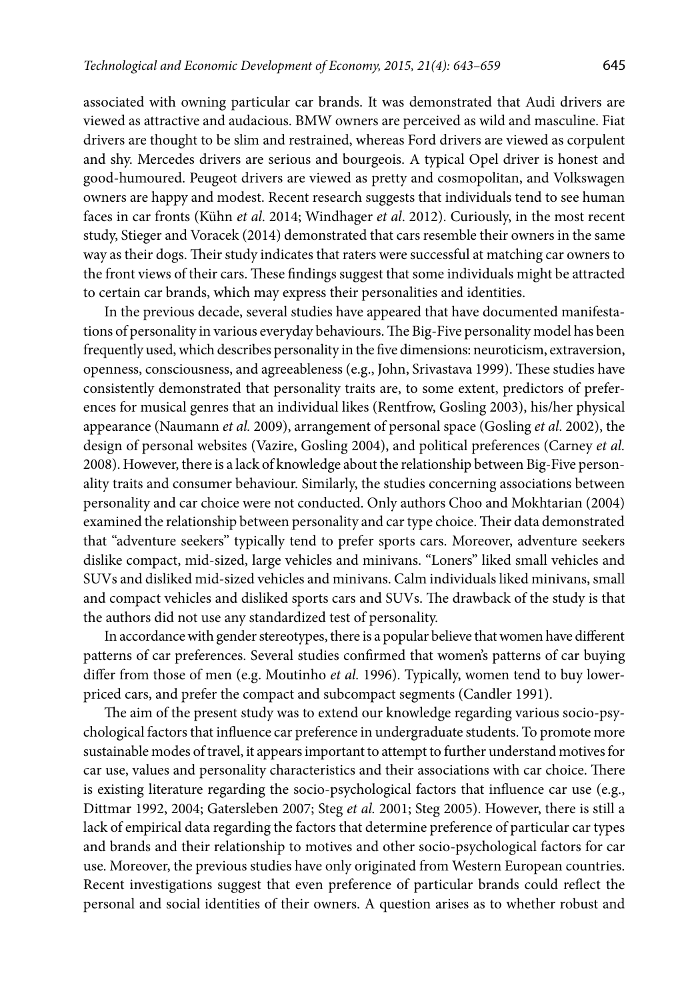associated with owning particular car brands. It was demonstrated that Audi drivers are viewed as attractive and audacious. BMW owners are perceived as wild and masculine. Fiat drivers are thought to be slim and restrained, whereas Ford drivers are viewed as corpulent and shy. Mercedes drivers are serious and bourgeois. A typical Opel driver is honest and good-humoured. Peugeot drivers are viewed as pretty and cosmopolitan, and Volkswagen owners are happy and modest. Recent research suggests that individuals tend to see human faces in car fronts (Kühn *et al*. 2014; Windhager *et al*. 2012). Curiously, in the most recent study, Stieger and Voracek (2014) demonstrated that cars resemble their owners in the same way as their dogs. Their study indicates that raters were successful at matching car owners to the front views of their cars. These findings suggest that some individuals might be attracted to certain car brands, which may express their personalities and identities.

In the previous decade, several studies have appeared that have documented manifestations of personality in various everyday behaviours. The Big-Five personality model has been frequently used, which describes personality in the five dimensions: neuroticism, extraversion, openness, consciousness, and agreeableness (e.g., John, Srivastava 1999). These studies have consistently demonstrated that personality traits are, to some extent, predictors of preferences for musical genres that an individual likes (Rentfrow, Gosling 2003), his/her physical appearance (Naumann *et al.* 2009), arrangement of personal space (Gosling *et al*. 2002), the design of personal websites (Vazire, Gosling 2004), and political preferences (Carney *et al.* 2008). However, there is a lack of knowledge about the relationship between Big-Five personality traits and consumer behaviour. Similarly, the studies concerning associations between personality and car choice were not conducted. Only authors Choo and Mokhtarian (2004) examined the relationship between personality and car type choice. Their data demonstrated that "adventure seekers" typically tend to prefer sports cars. Moreover, adventure seekers dislike compact, mid-sized, large vehicles and minivans. "Loners" liked small vehicles and SUVs and disliked mid-sized vehicles and minivans. Calm individuals liked minivans, small and compact vehicles and disliked sports cars and SUVs. The drawback of the study is that the authors did not use any standardized test of personality.

In accordance with gender stereotypes, there is a popular believe that women have different patterns of car preferences. Several studies confirmed that women's patterns of car buying differ from those of men (e.g. Moutinho *et al.* 1996). Typically, women tend to buy lowerpriced cars, and prefer the compact and subcompact segments (Candler 1991).

The aim of the present study was to extend our knowledge regarding various socio-psychological factors that influence car preference in undergraduate students. To promote more sustainable modes of travel, it appears important to attempt to further understand motives for car use, values and personality characteristics and their associations with car choice. There is existing literature regarding the socio-psychological factors that influence car use (e.g., Dittmar 1992, 2004; Gatersleben 2007; Steg *et al.* 2001; Steg 2005). However, there is still a lack of empirical data regarding the factors that determine preference of particular car types and brands and their relationship to motives and other socio-psychological factors for car use. Moreover, the previous studies have only originated from Western European countries. Recent investigations suggest that even preference of particular brands could reflect the personal and social identities of their owners. A question arises as to whether robust and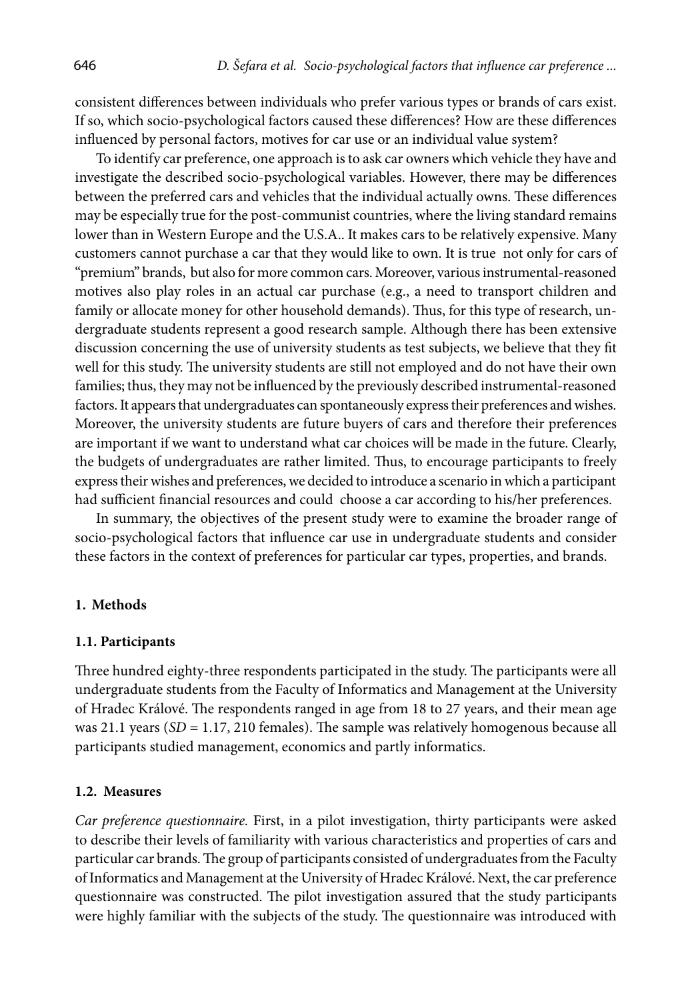consistent differences between individuals who prefer various types or brands of cars exist. If so, which socio-psychological factors caused these differences? How are these differences influenced by personal factors, motives for car use or an individual value system?

To identify car preference, one approach is to ask car owners which vehicle they have and investigate the described socio-psychological variables. However, there may be differences between the preferred cars and vehicles that the individual actually owns. These differences may be especially true for the post-communist countries, where the living standard remains lower than in Western Europe and the U.S.A.. It makes cars to be relatively expensive. Many customers cannot purchase a car that they would like to own. It is true not only for cars of "premium" brands, but also for more common cars. Moreover, various instrumental-reasoned motives also play roles in an actual car purchase (e.g., a need to transport children and family or allocate money for other household demands). Thus, for this type of research, undergraduate students represent a good research sample. Although there has been extensive discussion concerning the use of university students as test subjects, we believe that they fit well for this study. The university students are still not employed and do not have their own families; thus, they may not be influenced by the previously described instrumental-reasoned factors. It appears that undergraduates can spontaneously express their preferences and wishes. Moreover, the university students are future buyers of cars and therefore their preferences are important if we want to understand what car choices will be made in the future. Clearly, the budgets of undergraduates are rather limited. Thus, to encourage participants to freely express their wishes and preferences, we decided to introduce a scenario in which a participant had sufficient financial resources and could choose a car according to his/her preferences.

In summary, the objectives of the present study were to examine the broader range of socio-psychological factors that influence car use in undergraduate students and consider these factors in the context of preferences for particular car types, properties, and brands.

#### **1. Methods**

#### **1.1. Participants**

Three hundred eighty-three respondents participated in the study. The participants were all undergraduate students from the Faculty of Informatics and Management at the University of Hradec Králové. The respondents ranged in age from 18 to 27 years, and their mean age was 21.1 years (*SD* = 1.17, 210 females). The sample was relatively homogenous because all participants studied management, economics and partly informatics.

#### **1.2. Measures**

*Car preference questionnaire.* First, in a pilot investigation, thirty participants were asked to describe their levels of familiarity with various characteristics and properties of cars and particular car brands. The group of participants consisted of undergraduates from the Faculty of Informatics and Management at the University of Hradec Králové. Next, the car preference questionnaire was constructed. The pilot investigation assured that the study participants were highly familiar with the subjects of the study. The questionnaire was introduced with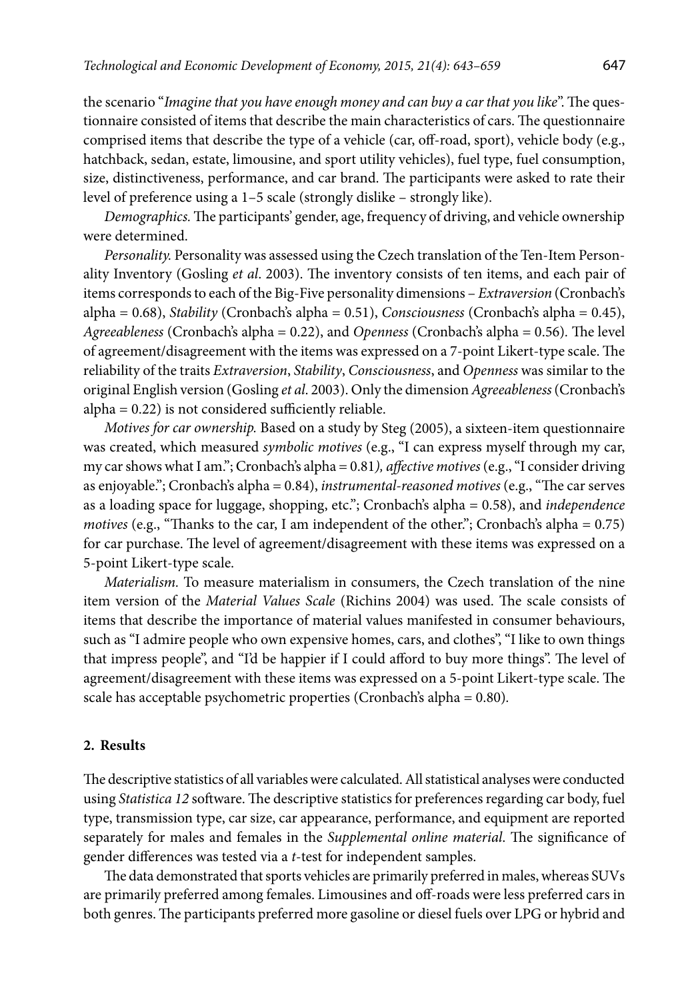the scenario "*Imagine that you have enough money and can buy a car that you like*". The questionnaire consisted of items that describe the main characteristics of cars. The questionnaire comprised items that describe the type of a vehicle (car, off-road, sport), vehicle body (e.g., hatchback, sedan, estate, limousine, and sport utility vehicles), fuel type, fuel consumption, size, distinctiveness, performance, and car brand. The participants were asked to rate their level of preference using a 1–5 scale (strongly dislike – strongly like).

*Demographics.* The participants' gender, age, frequency of driving, and vehicle ownership were determined.

*Personality.* Personality was assessed using the Czech translation of the Ten-Item Personality Inventory (Gosling *et al*. 2003). The inventory consists of ten items, and each pair of items corresponds to each of the Big-Five personality dimensions – *Extraversion* (Cronbach's alpha = 0.68), *Stability* (Cronbach's alpha = 0.51), *Consciousness* (Cronbach's alpha = 0.45), *Agreeableness* (Cronbach's alpha = 0.22), and *Openness* (Cronbach's alpha = 0.56)*.* The level of agreement/disagreement with the items was expressed on a 7-point Likert-type scale. The reliability of the traits *Extraversion*, *Stability*, *Consciousness*, and *Openness* was similar to the original English version (Gosling *et al*. 2003). Only the dimension *Agreeableness* (Cronbach's alpha = 0.22) is not considered sufficiently reliable.

*Motives for car ownership.* Based on a study by Steg (2005), a sixteen-item questionnaire was created, which measured *symbolic motives* (e.g., "I can express myself through my car, my car shows what I am."; Cronbach's alpha = 0.81*), affective motives* (e.g., "I consider driving as enjoyable."; Cronbach's alpha = 0.84), *instrumental-reasoned motives* (e.g., "The car serves as a loading space for luggage, shopping, etc."; Cronbach's alpha = 0.58), and *independence motives* (e.g., "Thanks to the car, I am independent of the other."; Cronbach's alpha = 0.75) for car purchase. The level of agreement/disagreement with these items was expressed on a 5-point Likert-type scale.

*Materialism.* To measure materialism in consumers, the Czech translation of the nine item version of the *Material Values Scale* (Richins 2004) was used. The scale consists of items that describe the importance of material values manifested in consumer behaviours, such as "I admire people who own expensive homes, cars, and clothes", "I like to own things that impress people", and "I'd be happier if I could afford to buy more things". The level of agreement/disagreement with these items was expressed on a 5-point Likert-type scale. The scale has acceptable psychometric properties (Cronbach's alpha = 0.80)*.*

#### **2. Results**

The descriptive statistics of all variables were calculated. All statistical analyses were conducted using *Statistica 12* software. The descriptive statistics for preferences regarding car body, fuel type, transmission type, car size, car appearance, performance, and equipment are reported separately for males and females in the *Supplemental online material*. The significance of gender differences was tested via a *t*-test for independent samples.

The data demonstrated that sports vehicles are primarily preferred in males, whereas SUVs are primarily preferred among females. Limousines and off-roads were less preferred cars in both genres. The participants preferred more gasoline or diesel fuels over LPG or hybrid and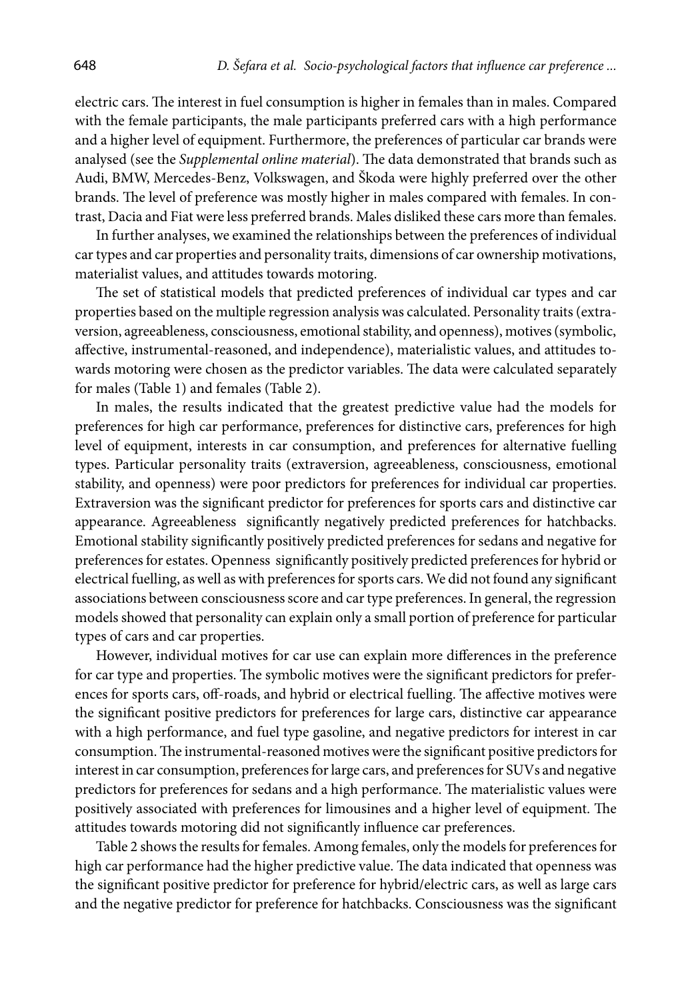electric cars. The interest in fuel consumption is higher in females than in males. Compared with the female participants, the male participants preferred cars with a high performance and a higher level of equipment. Furthermore, the preferences of particular car brands were analysed (see the *Supplemental online material*). The data demonstrated that brands such as Audi, BMW, Mercedes-Benz, Volkswagen, and Škoda were highly preferred over the other brands. The level of preference was mostly higher in males compared with females. In contrast, Dacia and Fiat were less preferred brands. Males disliked these cars more than females.

In further analyses, we examined the relationships between the preferences of individual car types and car properties and personality traits, dimensions of car ownership motivations, materialist values, and attitudes towards motoring.

The set of statistical models that predicted preferences of individual car types and car properties based on the multiple regression analysis was calculated. Personality traits (extraversion, agreeableness, consciousness, emotional stability, and openness), motives (symbolic, affective, instrumental-reasoned, and independence), materialistic values, and attitudes towards motoring were chosen as the predictor variables. The data were calculated separately for males (Table 1) and females (Table 2).

In males, the results indicated that the greatest predictive value had the models for preferences for high car performance, preferences for distinctive cars, preferences for high level of equipment, interests in car consumption, and preferences for alternative fuelling types. Particular personality traits (extraversion, agreeableness, consciousness, emotional stability, and openness) were poor predictors for preferences for individual car properties. Extraversion was the significant predictor for preferences for sports cars and distinctive car appearance. Agreeableness significantly negatively predicted preferences for hatchbacks. Emotional stability significantly positively predicted preferences for sedans and negative for preferences for estates. Openness significantly positively predicted preferences for hybrid or electrical fuelling, as well as with preferences for sports cars. We did not found any significant associations between consciousness score and car type preferences. In general, the regression models showed that personality can explain only a small portion of preference for particular types of cars and car properties.

However, individual motives for car use can explain more differences in the preference for car type and properties. The symbolic motives were the significant predictors for preferences for sports cars, off-roads, and hybrid or electrical fuelling. The affective motives were the significant positive predictors for preferences for large cars, distinctive car appearance with a high performance, and fuel type gasoline, and negative predictors for interest in car consumption. The instrumental-reasoned motives were the significant positive predictors for interest in car consumption, preferences for large cars, and preferences for SUVs and negative predictors for preferences for sedans and a high performance. The materialistic values were positively associated with preferences for limousines and a higher level of equipment. The attitudes towards motoring did not significantly influence car preferences.

Table 2 shows the results for females. Among females, only the models for preferences for high car performance had the higher predictive value. The data indicated that openness was the significant positive predictor for preference for hybrid/electric cars, as well as large cars and the negative predictor for preference for hatchbacks. Consciousness was the significant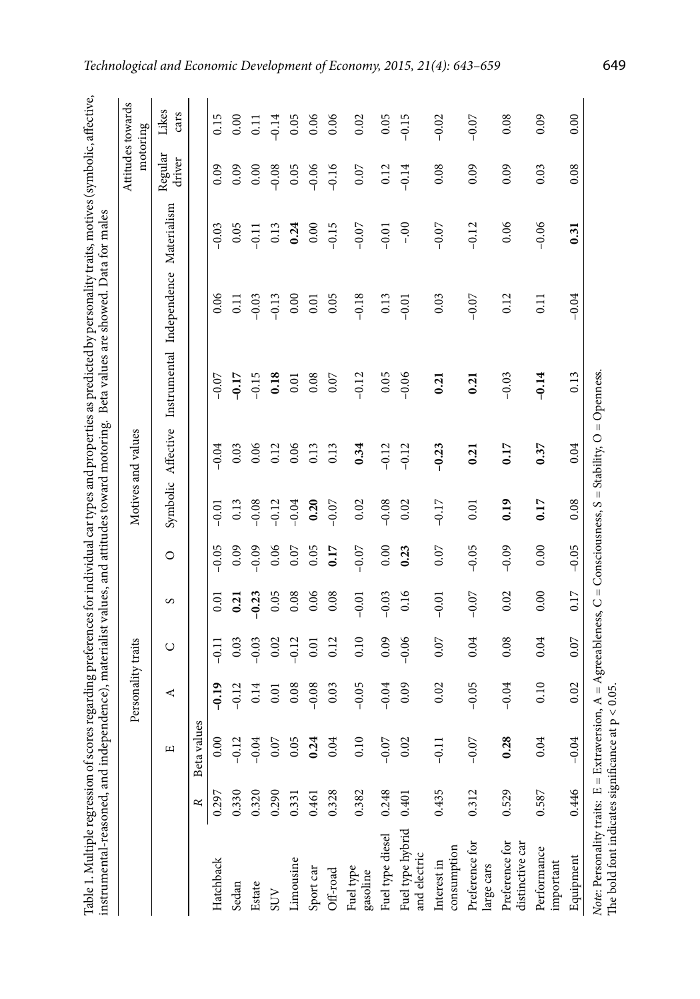| ,<br>l                                                                               |                                                                                         |
|--------------------------------------------------------------------------------------|-----------------------------------------------------------------------------------------|
| ļ<br>ļ                                                                               |                                                                                         |
| ١                                                                                    |                                                                                         |
|                                                                                      |                                                                                         |
|                                                                                      |                                                                                         |
|                                                                                      |                                                                                         |
|                                                                                      |                                                                                         |
|                                                                                      |                                                                                         |
|                                                                                      |                                                                                         |
|                                                                                      | ì                                                                                       |
| ٖ<br>په                                                                              |                                                                                         |
|                                                                                      |                                                                                         |
|                                                                                      |                                                                                         |
|                                                                                      |                                                                                         |
|                                                                                      |                                                                                         |
|                                                                                      |                                                                                         |
|                                                                                      |                                                                                         |
|                                                                                      |                                                                                         |
|                                                                                      |                                                                                         |
|                                                                                      |                                                                                         |
|                                                                                      | j                                                                                       |
| j                                                                                    | i                                                                                       |
|                                                                                      |                                                                                         |
|                                                                                      |                                                                                         |
| <b>CANTING CO.</b><br>: 22.                                                          | ì<br>I<br>コー こうじょうしょう                                                                   |
|                                                                                      |                                                                                         |
|                                                                                      |                                                                                         |
|                                                                                      |                                                                                         |
|                                                                                      |                                                                                         |
|                                                                                      |                                                                                         |
| ֧֧֧֧֧֧֧֧֧ׅ֧֧֧֧֧֧֛֪֧֛֧֧֧֛֧֧֛֪֛֪֛֚֚֚֚֚֚֚֚֝֝֕֓֕֓֕֓֝֓֝֬֝֓֝֬֝֓֝֬֝֬֝֓֝֬֜֓֓֝֬֜֓֜֜֝֬֜֝֬֬֝֬֝֬ |                                                                                         |
| l                                                                                    | 计类型 网络小海军 计数据                                                                           |
|                                                                                      |                                                                                         |
|                                                                                      | i                                                                                       |
|                                                                                      |                                                                                         |
|                                                                                      |                                                                                         |
|                                                                                      |                                                                                         |
| i                                                                                    |                                                                                         |
|                                                                                      | i                                                                                       |
|                                                                                      | j                                                                                       |
| もくくちくさくさく                                                                            |                                                                                         |
|                                                                                      |                                                                                         |
|                                                                                      |                                                                                         |
|                                                                                      |                                                                                         |
| i<br>J                                                                               | ֖֖֖֖֧ׅ֧֖֧ׅ֧֧֪֧֧֪ׅ֧֪֧֪֧֪ׅ֪֪֪֧֪֪֧֪֪֧֪֧֪ׅ֧֪ׅ֧֚֚֚֚֚֚֚֚֚֚֚֚֚֚֚֚֚֚֚֚֚֚֚֚֚֚֚֚֚֚֚֚֬֝֝֬֝֬֓֝֬֝֬֝֬ |
|                                                                                      |                                                                                         |
| i<br>i                                                                               | Ĭ                                                                                       |
| ì                                                                                    |                                                                                         |
| ١                                                                                    | ۱r                                                                                      |
| こうか こうさん<br>į                                                                        | å<br>١<br>١                                                                             |
|                                                                                      | i                                                                                       |
|                                                                                      |                                                                                         |
|                                                                                      | ¢                                                                                       |
| ¢                                                                                    |                                                                                         |
| ł                                                                                    |                                                                                         |
|                                                                                      | i                                                                                       |
|                                                                                      | ł                                                                                       |
|                                                                                      |                                                                                         |
| ı                                                                                    |                                                                                         |
|                                                                                      | 1.000 PM 2010 PM 2011<br>֚֘                                                             |
|                                                                                      |                                                                                         |
|                                                                                      | į                                                                                       |
| ı<br>I                                                                               |                                                                                         |

|                                                                                                                                                                        |       |                           |                    |         |         |         |                    | ς       |         |                                              |             |                               |                   |
|------------------------------------------------------------------------------------------------------------------------------------------------------------------------|-------|---------------------------|--------------------|---------|---------|---------|--------------------|---------|---------|----------------------------------------------|-------------|-------------------------------|-------------------|
|                                                                                                                                                                        |       |                           | Personality traits |         |         |         | Motives and values |         |         |                                              |             | Attitudes towards<br>motoring |                   |
|                                                                                                                                                                        |       | Щ                         | ⋖                  | O       | S       | 0       |                    |         |         | Symbolic Affective Instrumental Independence | Materialism | Regular<br>driver             | Likes<br>cars     |
|                                                                                                                                                                        | R     | values<br>Beta            |                    |         |         |         |                    |         |         |                                              |             |                               |                   |
| Hatchback                                                                                                                                                              | 0.297 | 0.00                      | $-0.19$            | Ξ       | 0.01    | $-0.05$ | $-0.01$            | $-0.04$ | $-0.07$ | 0.06                                         | $-0.03$     | 0.09                          | 0.15              |
| Sedan                                                                                                                                                                  | 0.330 | $-0.12$                   | $-0.12$            | 0.03    | 0.21    | 0.09    | 0.13               | 0.03    | $-0.17$ | 0.11                                         | 0.05        | 0.09                          | 0.00              |
| Estate                                                                                                                                                                 | 0.320 | $-0.04$                   | 0.14               | $-0.03$ | $-0.23$ | $-0.09$ | $-0.08$            | 0.06    | $-0.15$ | $-0.03$                                      | $-0.11$     | 0.00                          | $\overline{0.11}$ |
| SUV                                                                                                                                                                    | 0.290 | $\overline{0}$            | 0.01               | 0.02    | 0.05    | 0.06    | $-0.12$            | 0.12    | 0.18    | $-0.13$                                      | 0.13        | $-0.08$                       | $-0.14$           |
| Limousine                                                                                                                                                              | 0.331 | 65                        | 0.08               | $-0.12$ | 0.08    | 0.07    | $-0.04$            | 0.06    | 0.01    | 0.00                                         | 0.24        | 0.05                          | 0.05              |
| Sport car                                                                                                                                                              | 0.461 | $\ddot{c}$<br>0           | $-0.08$            | 0.01    | 0.06    | 0.05    | 0.20               | 0.13    | 0.08    | 0.01                                         | 0.00        | $-0.06$                       | 0.06              |
| Off-road                                                                                                                                                               | 0.328 | $\mathfrak{S}$<br>$\circ$ | 0.03               | 0.12    | 0.08    | 0.17    | $-0.07$            | 0.13    | 0.07    | 0.05                                         | $-0.15$     | $-0.16$                       | 0.06              |
| Fuel type<br>gasoline                                                                                                                                                  | 0.382 | 0.10                      | $-0.05$            | 0.10    | $-0.01$ | $-0.07$ | 0.02               | 0.34    | $-0.12$ | $-0.18$                                      | $-0.07$     | 0.07                          | 0.02              |
| Fuel type diesel                                                                                                                                                       | 0.248 | $-0.07$                   | $-0.04$            | 0.09    | $-0.03$ | 0.00    | $-0.08$            | $-0.12$ | 0.05    | 0.13                                         | $-0.01$     | 0.12                          | 0.05              |
| Fuel type hybrid<br>and electric                                                                                                                                       | 0.401 | $\mathcal{S}$<br>$\circ$  | 0.09               | $-0.06$ | 0.16    | 0.23    | 0.02               | $-0.12$ | $-0.06$ | $-0.01$                                      | $-0.0$      | $-0.14$                       | $-0.15$           |
| consumption<br>Interest in                                                                                                                                             | 0.435 | $-0.11$                   | 0.02               | 0.07    | $-0.01$ | 0.07    | $-0.17$            | $-0.23$ | 0.21    | 0.03                                         | $-0.07$     | 0.08                          | $-0.02$           |
| Preference for<br>large cars                                                                                                                                           | 0.312 | CO.<br>ု                  | $-0.05$            | 0.04    | $-0.07$ | $-0.05$ | 0.01               | 0.21    | 0.21    | $-0.07$                                      | $-0.12$     | 0.09                          | $-0.07$           |
| Preference for<br>distinctive car                                                                                                                                      | 0.529 | 28<br>6                   | $-0.04$            | 0.08    | 0.02    | $-0.09$ | 0.19               | 0.17    | $-0.03$ | 0.12                                         | 0.06        | 0.09                          | 0.08              |
| Performance<br>important                                                                                                                                               | 0.587 | $\tilde{E}$               | 0.10               | 0.04    | 0.00    | 0.00    | 0.17               | 0.37    | $-0.14$ | $\Xi$                                        | $-0.06$     | 0.03                          | 0.09              |
| Equipment                                                                                                                                                              | 0.446 | $\ddot{\mathrm{c}}$<br>ု  | 0.02               | 0.07    | 0.17    | $-0.05$ | 0.08               | 0.04    | 0.13    | $-0.04$                                      | 0.31        | 0.08                          | 0.00              |
| Note: Personality traits: E = Extraversion, A = Agreeableness, C = Consciousness, S = Stability, O = Openness.<br>The bold font indicates significance at $p < 0.05$ . |       |                           |                    |         |         |         |                    |         |         |                                              |             |                               |                   |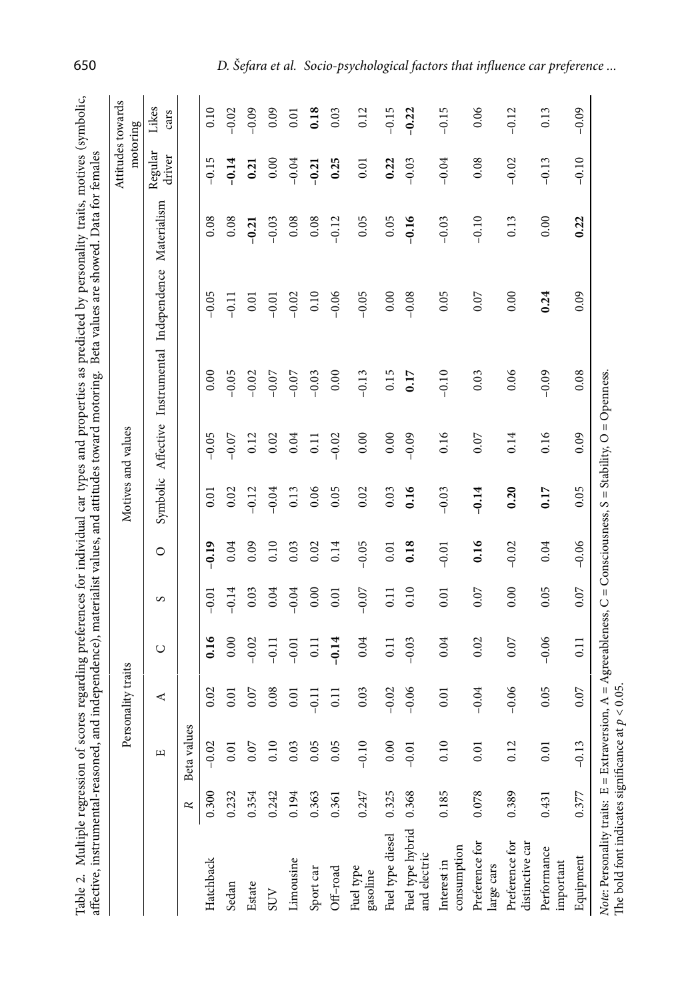|                                                                                              |       |                                    | Personality traits |                   |                   |         |                                                                                        | Motives and values |         |                                                          |         | Attitudes towards<br>motoring |               |
|----------------------------------------------------------------------------------------------|-------|------------------------------------|--------------------|-------------------|-------------------|---------|----------------------------------------------------------------------------------------|--------------------|---------|----------------------------------------------------------|---------|-------------------------------|---------------|
|                                                                                              |       | $\left\vert \mathbf{I}\right\vert$ | ⋖                  | O                 | S                 | 0       |                                                                                        |                    |         | Symbolic Affective Instrumental Independence Materialism |         | Regular<br>driver             | Likes<br>cars |
|                                                                                              | R     | Beta values                        |                    |                   |                   |         |                                                                                        |                    |         |                                                          |         |                               |               |
| Hatchback                                                                                    | 0.300 | $-0.02$                            | 0.02               | 0.16              | $-0.01$           | $-0.19$ | 0.01                                                                                   | $-0.05$            | 0.00    | $-0.05$                                                  | 0.08    | $-0.15$                       | 0.10          |
| Sedan                                                                                        | 0.232 | 0.01                               | 0.01               | 0.00              | $-0.14$           | 0.04    | 0.02                                                                                   | $-0.07$            | $-0.05$ | $-0.11$                                                  | 0.08    | $-0.14$                       | $-0.02$       |
| Estate                                                                                       | 0.354 | 0.07                               | 0.07               | $-0.02$           | 0.03              | 0.09    | $-0.12$                                                                                | 0.12               | $-0.02$ | 0.01                                                     | $-0.21$ | 0.21                          | $-0.09$       |
| ${\rm SU}{\rm V}$                                                                            | 0.242 | 0.10                               | 0.08               | $-0.11$           | 0.04              | 0.10    | $-0.04$                                                                                | 0.02               | $-0.07$ | $-0.01$                                                  | $-0.03$ | 0.00                          | 0.09          |
| Limousine                                                                                    | 0.194 | 0.03                               | 0.01               | $-0.01$           | $-0.04$           | 0.03    | 0.13                                                                                   | 0.04               | $-0.07$ | $-0.02$                                                  | 0.08    | $-0.04$                       | 0.01          |
| Sport car                                                                                    | 0.363 | 0.05                               | $-0.11$            | $\overline{0.11}$ | 0.00              | 0.02    | 0.06                                                                                   | $\overline{0.11}$  | $-0.03$ | 0.10                                                     | 0.08    | $-0.21$                       | 0.18          |
| Off-road                                                                                     | 0.361 | 0.05                               | 0.11               | $-0.14$           | 0.01              | 0.14    | 0.05                                                                                   | $-0.02$            | 0.00    | $-0.06$                                                  | $-0.12$ | 0.25                          | 0.03          |
| Fuel type<br>gasoline                                                                        | 0.247 | $-0.10$                            | 0.03               | 0.04              | $-0.07$           | $-0.05$ | 0.02                                                                                   | 0.00               | $-0.13$ | $-0.05$                                                  | 0.05    | 0.01                          | 0.12          |
| Fuel type diesel                                                                             | 0.325 | 0.00                               | $-0.02$            | $\overline{0.11}$ | $\overline{0.11}$ | 0.01    | 0.03                                                                                   | 0.00               | 0.15    | 0.00                                                     | 0.05    | 0.22                          | $-0.15$       |
| Fuel type hybrid<br>and electric                                                             | 0.368 | $-0.01$                            | $-0.06$            | $-0.03$           | 0.10              | 0.18    | 0.16                                                                                   | $-0.09$            | 0.17    | $-0.08$                                                  | $-0.16$ | $-0.03$                       | $-0.22$       |
| consumption<br>Interest in                                                                   | 0.185 | 0.10                               | 0.01               | 0.04              | 0.01              | $-0.01$ | $-0.03$                                                                                | 0.16               | $-0.10$ | 0.05                                                     | $-0.03$ | $-0.04$                       | $-0.15$       |
| Preference for<br>large cars                                                                 | 0.078 | $\overline{0.0}$                   | $-0.04$            | 0.02              | 0.07              | 0.16    | $-0.14$                                                                                | 0.07               | 0.03    | 0.07                                                     | $-0.10$ | 0.08                          | 0.06          |
| Preference for<br>distinctive car                                                            | 0.389 | 0.12                               | $-0.06$            | 0.07              | 0.00              | $-0.02$ | 0.20                                                                                   | 0.14               | 0.06    | 0.00                                                     | 0.13    | $-0.02$                       | $-0.12$       |
| Performance<br>important                                                                     | 0.431 | 0.0                                | 0.05               | $-0.06$           | 0.05              | 0.04    | 0.17                                                                                   | 0.16               | $-0.09$ | 0.24                                                     | 0.00    | $-0.13$                       | 0.13          |
| Equipment                                                                                    | 0.377 | $-0.13$                            | 0.07               | 0.11              | 0.07              | $-0.06$ | 0.05                                                                                   | 0.09               | 0.08    | 0.09                                                     | 0.22    | $-0.10$                       | $-0.09$       |
| The bold font indicates significance at $p < 0.05$<br>Note: Personality traits: $E =$ Extrav |       |                                    |                    |                   |                   |         | version, $A = Agreeableness$ , $C = Consciousness$ , $S = Stability$ , $O = Opennes$ . |                    |         |                                                          |         |                               |               |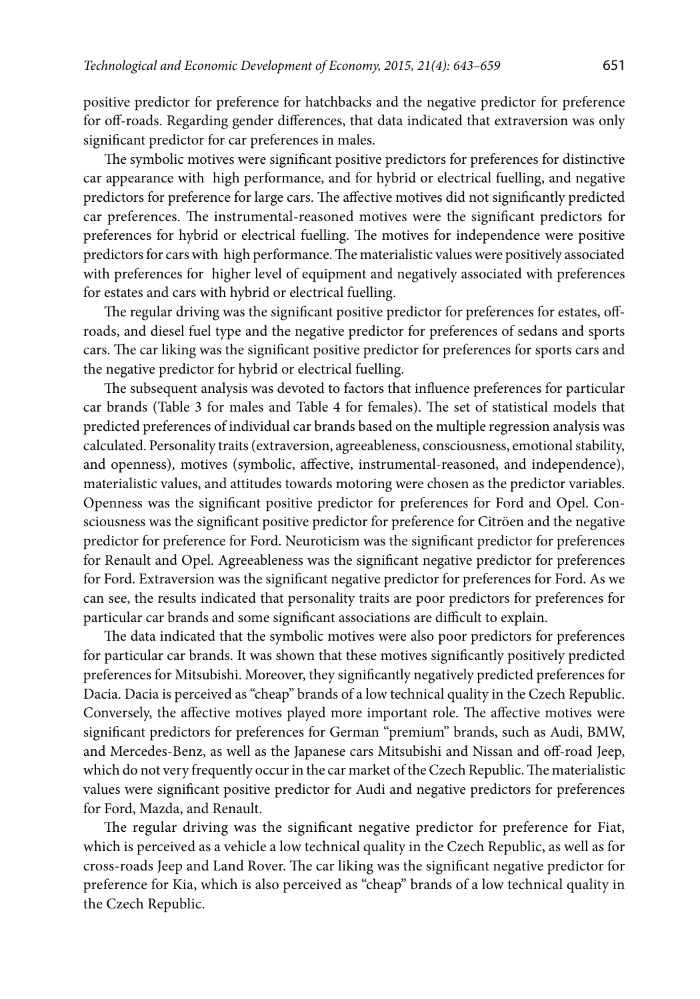positive predictor for preference for hatchbacks and the negative predictor for preference for off-roads. Regarding gender differences, that data indicated that extraversion was only significant predictor for car preferences in males.

The symbolic motives were significant positive predictors for preferences for distinctive car appearance with high performance, and for hybrid or electrical fuelling, and negative predictors for preference for large cars. The affective motives did not significantly predicted car preferences. The instrumental-reasoned motives were the significant predictors for preferences for hybrid or electrical fuelling. The motives for independence were positive predictors for cars with high performance.The materialistic values were positively associated with preferences for higher level of equipment and negatively associated with preferences for estates and cars with hybrid or electrical fuelling.

The regular driving was the significant positive predictor for preferences for estates, offroads, and diesel fuel type and the negative predictor for preferences of sedans and sports cars. The car liking was the significant positive predictor for preferences for sports cars and the negative predictor for hybrid or electrical fuelling.

The subsequent analysis was devoted to factors that influence preferences for particular car brands (Table 3 for males and Table 4 for females). The set of statistical models that predicted preferences of individual car brands based on the multiple regression analysis was calculated. Personality traits (extraversion, agreeableness, consciousness, emotional stability, and openness), motives (symbolic, affective, instrumental-reasoned, and independence), materialistic values, and attitudes towards motoring were chosen as the predictor variables. Openness was the significant positive predictor for preferences for Ford and Opel. Consciousness was the significant positive predictor for preference for Citröen and the negative predictor for preference for Ford. Neuroticism was the significant predictor for preferences for Renault and Opel. Agreeableness was the significant negative predictor for preferences for Ford. Extraversion was the significant negative predictor for preferences for Ford. As we can see, the results indicated that personality traits are poor predictors for preferences for particular car brands and some significant associations are difficult to explain.

The data indicated that the symbolic motives were also poor predictors for preferences for particular car brands. It was shown that these motives significantly positively predicted preferences for Mitsubishi. Moreover, they significantly negatively predicted preferences for Dacia. Dacia is perceived as "cheap" brands of a low technical quality in the Czech Republic. Conversely, the affective motives played more important role. The affective motives were significant predictors for preferences for German "premium" brands, such as Audi, BMW, and Mercedes-Benz, as well as the Japanese cars Mitsubishi and Nissan and off-road Jeep, which do not very frequently occur in the car market of the Czech Republic. The materialistic values were significant positive predictor for Audi and negative predictors for preferences for Ford, Mazda, and Renault.

The regular driving was the significant negative predictor for preference for Fiat, which is perceived as a vehicle a low technical quality in the Czech Republic, as well as for cross-roads Jeep and Land Rover. The car liking was the significant negative predictor for preference for Kia, which is also perceived as "cheap" brands of a low technical quality in the Czech Republic.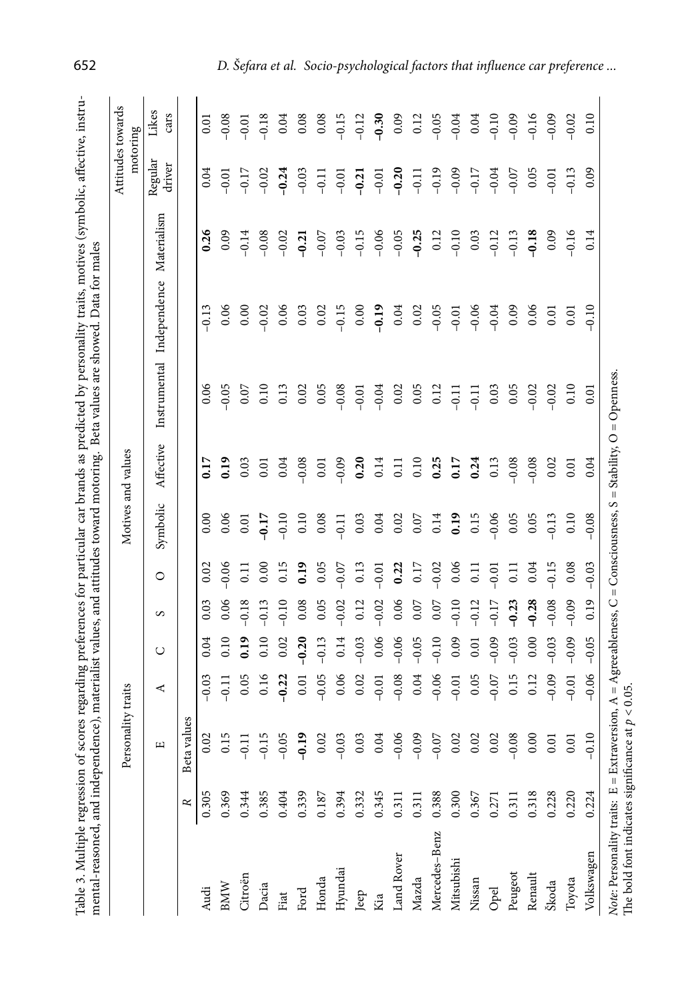| 15.2<br>١<br>ة<br>با                                                                     |                                             |
|------------------------------------------------------------------------------------------|---------------------------------------------|
| $max$ and $max$<br>$\ddot{\phantom{a}}$<br>$\frac{1}{1}$<br>wartered hy<br>$\frac{1}{2}$ | Ĩ<br>I<br>$\frac{1}{2}$                     |
| r<br>c<br>in the chinese parameter we have<br>$-1$<br>י בטב                              | いここうこう<br>j<br>しょうちゅう<br>į<br>j             |
| CHOIL<br>j<br>j<br>cores regard<br>ׇ֦֘֡<br>֚֬<br>32                                      | くうちゅう こうきょう<br>L<br>lence.<br>י המדרכת<br>i |
|                                                                                          |                                             |

|                                                                                                                                                                      |       | Personality traits                 |                |         |         |                   | Motives and values |           |         |                                       |         | Attitudes towards<br>motoring |               |
|----------------------------------------------------------------------------------------------------------------------------------------------------------------------|-------|------------------------------------|----------------|---------|---------|-------------------|--------------------|-----------|---------|---------------------------------------|---------|-------------------------------|---------------|
|                                                                                                                                                                      |       | щ                                  | ⋖              | O       | S       | O                 | Symbolic           | Affective |         | Instrumental Independence Materialism |         | Regular<br>driver             | Likes<br>cars |
|                                                                                                                                                                      | ∝     | values<br>Beta                     |                |         |         |                   |                    |           |         |                                       |         |                               |               |
| Audi                                                                                                                                                                 | 0.305 | 02.<br>0                           | $-0.03$        | 0.04    | 0.03    | 0.02              | 0.00               | 0.17      | 0.06    | $-0.13$                               | 0.26    | 0.04                          | 0.01          |
| <b>BMW</b>                                                                                                                                                           | 0.369 | 0.15                               | $\overline{0}$ | 0.10    | 0.06    | $-0.06$           | 0.06               | 0.19      | $-0.05$ | 0.06                                  | 0.09    | $-0.01$                       | $-0.08$       |
| Citroën                                                                                                                                                              | 0.344 | $-0.11$                            | 0.05           | 0.19    | $-0.18$ | $\overline{0}$    | 0.01               | 0.03      | 0.07    | 0.00                                  | $-0.14$ | $-0.17$                       | $-0.01$       |
| Dacia                                                                                                                                                                | 0.385 | $-0.15$                            | 0.16           | 0.10    | $-0.13$ | 0.00              | $-0.17$            | 0.01      | 0.10    | $-0.02$                               | $-0.08$ | $-0.02$                       | $-0.18$       |
| Fiat                                                                                                                                                                 | 0.404 | 05<br>$\tilde{P}$                  | 0.22           | 0.02    | $-0.10$ | 0.15              | $-0.10$            | 0.04      | 0.13    | 0.06                                  | $-0.02$ | $-0.24$                       | 0.04          |
| Ford                                                                                                                                                                 | 0.339 | $-0.19$                            | 0.01           | $-0.20$ | 0.08    | 0.19              | 0.10               | $-0.08$   | 0.02    | 0.03                                  | $-0.21$ | $-0.03$                       | 0.08          |
| Honda                                                                                                                                                                | 0.187 | $\ddot{\mathrm{S}}$                | $-0.05$        | $-0.13$ | 0.05    | 0.05              | 0.08               | 0.01      | 0.05    | 0.02                                  | $-0.07$ | $-0.11$                       | 0.08          |
| Hyundai                                                                                                                                                              | 0.394 | 03<br>$\tilde{P}$                  | 0.06           | 0.14    | $-0.02$ | $-0.07$           | $-0.11$            | $-0.09$   | $-0.08$ | $-0.15$                               | $-0.03$ | $-0.01$                       | $-0.15$       |
| Jeep                                                                                                                                                                 | 0.332 | 03                                 | 0.02           | $-0.03$ | 0.12    | 0.13              | 0.03               | 0.20      | $-0.01$ | 0.00                                  | $-0.15$ | $-0.21$                       | $-0.12$       |
| Kia                                                                                                                                                                  | 0.345 | $\ddot{5}$                         | $-0.01$        | 0.06    | $-0.02$ | $-0.01$           | 0.04               | 0.14      | $-0.04$ | $-0.19$                               | $-0.06$ | $-0.01$                       | $-0.30$       |
| Land Rover                                                                                                                                                           | 0.311 | $\widetilde{90}$<br>$\overline{P}$ | $-0.08$        | $-0.06$ | 0.06    | 0.22              | 0.02               | 0.11      | 0.02    | 0.04                                  | $-0.05$ | $-0.20$                       | 0.09          |
| Mazda                                                                                                                                                                | 0.311 | $\ddot{\circ}$<br>$\overline{0}$   | 0.04           | $-0.05$ | 0.07    | 0.17              | 0.07               | 0.10      | 0.05    | 0.02                                  | $-0.25$ | $-0.11$                       | 0.12          |
| Mercedes-Benz                                                                                                                                                        | 0.388 | $-0.07$                            | $-0.06$        | $-0.10$ | 0.07    | $-0.02$           | 0.14               | 0.25      | 0.12    | $-0.05$                               | 0.12    | $-0.19$                       | $-0.05$       |
| Mitsubishi                                                                                                                                                           | 0.300 | 0.02                               | $-0.01$        | 0.09    | $-0.10$ | 0.06              | 0.19               | 0.17      | $-0.11$ | $-0.01$                               | $-0.10$ | $-0.09$                       | $-0.04$       |
| Nissan                                                                                                                                                               | 0.367 | $\ddot{\mathrm{S}}$                | 0.05           | 0.01    | $-0.12$ | $\overline{0.11}$ | 0.15               | 0.24      | $-0.11$ | $-0.06$                               | 0.03    | $-0.17$                       | 0.04          |
| Opel                                                                                                                                                                 | 0.271 | $\overline{0}$                     | $-0.07$        | $-0.09$ | $-0.17$ | $-0.01$           | $-0.06$            | 0.13      | 0.03    | $-0.04$                               | $-0.12$ | $-0.04$                       | $-0.10$       |
| Peugeot                                                                                                                                                              | 0.311 | 08                                 | 0.15           | $-0.03$ | $-0.23$ | $\overline{11}$   | 0.05               | $-0.08$   | 0.05    | 0.09                                  | $-0.13$ | $-0.07$                       | $-0.09$       |
| Renault                                                                                                                                                              | 0.318 | $\ddot{\circ}$                     | 0.12           | 0.00    | $-0.28$ | 0.04              | 0.05               | $-0.08$   | $-0.02$ | 0.06                                  | $-0.18$ | 0.05                          | $-0.16$       |
| Škoda                                                                                                                                                                | 0.228 | $\ddot{a}$                         | 0.09           | $-0.03$ | $-0.08$ | $-0.15$           | $-0.13$            | 0.02      | $-0.02$ | 0.01                                  | 0.09    | $-0.01$                       | $-0.09$       |
| Toyota                                                                                                                                                               | 0.220 | $\ddot{\circ}$                     | $-0.01$        | $-0.09$ | $-0.09$ | 0.08              | 0.10               | 0.01      | 0.10    | 0.01                                  | $-0.16$ | $-0.13$                       | $-0.02$       |
| Volkswagen                                                                                                                                                           | 0.224 | $-0.10$                            | $-0.06$        | $-0.05$ | 0.19    | $-0.03$           | $-0.08$            | 0.04      | 0.01    | $-0.10$                               | 0.14    | 0.09                          | 0.10          |
| Note: Personality traits: E = Extraversion, A = Agreeableness, C = Consciousness, S = Stability, O = Openness.<br>The bold font indicates significance at $p < 0.05$ |       |                                    |                |         |         |                   |                    |           |         |                                       |         |                               |               |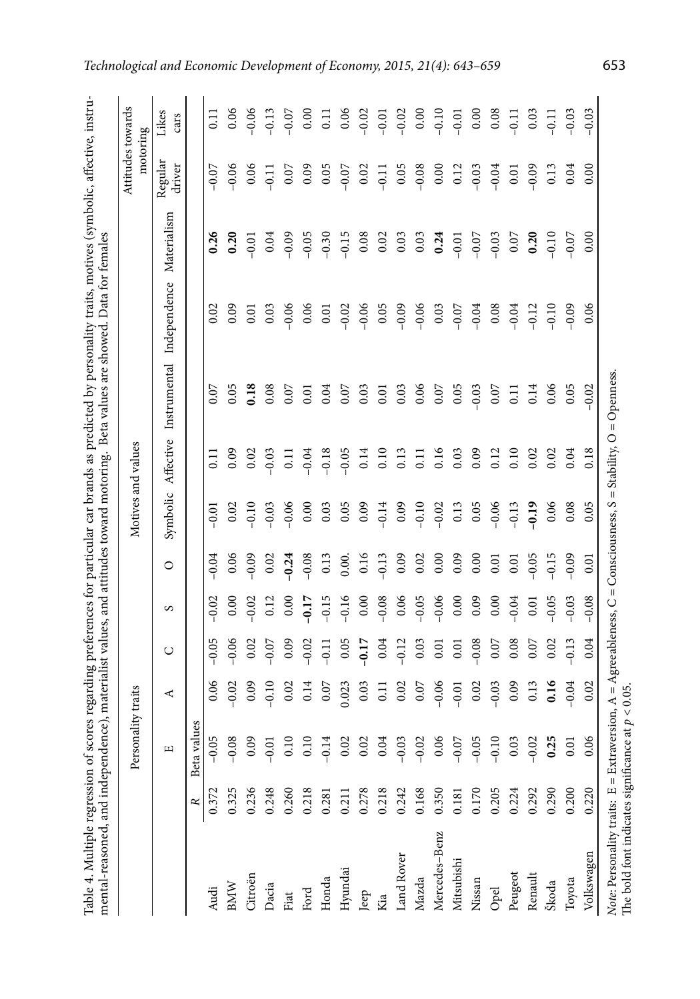| $\frac{1}{2}$<br>١                                                |                                              |
|-------------------------------------------------------------------|----------------------------------------------|
| $\sim$ $\sim$ $\sim$ $\sim$ $\sim$ $\sim$ $\sim$ $\sim$           | $-1.1$<br>$\sqrt{2}$                         |
| i<br>i                                                            | i<br>Vi<br>l<br>Í<br>ĺ                       |
| $\frac{1}{2}$                                                     | )<br>}                                       |
| J<br>l<br>cu senuo<br>ì<br>゚゚゚<br>l<br>;<br>$\frac{1}{3}$         | uence), ~<br>;                               |
| <b>Concert Concert Concert</b><br>i<br>.<br>.<br>:<br>ג<br>ג<br>l | $-1$ is done on $\ell$<br>25.000<br>wanta wa |

|               |       | Personality traits |         |         |         |                  |         | Motives and values |                  |                           |             |                   | Attitudes towards<br>motoring |
|---------------|-------|--------------------|---------|---------|---------|------------------|---------|--------------------|------------------|---------------------------|-------------|-------------------|-------------------------------|
|               |       |                    | ≺       | $\cup$  | S       | 0                |         | Symbolic Affective |                  | Instrumental Independence | Materialism | Regular<br>driver | Likes<br>cars                 |
|               | R     | ralues<br>Beta v:  |         |         |         |                  |         |                    |                  |                           |             |                   |                               |
| Audi          | 0.372 | $-0.05$            | 0.06    | $-0.05$ | $-0.02$ | $-0.04$          | $-0.01$ | $\overline{0}$     | 0.07             | 0.02                      | 0.26        | $-0.07$           | $\overline{0.11}$             |
| BMW           | 0.325 | $-0.08$            | $-0.02$ | $-0.06$ | 0.00    | 0.06             | 0.02    | 0.09               | 0.05             | 0.09                      | 0.20        | $-0.06$           | 0.06                          |
| Citroën       | 0.236 | 0.09               | 0.09    | 0.02    | $-0.02$ | $-0.09$          | $-0.10$ | 0.02               | 0.18             | 0.01                      | $-0.01$     | 0.06              | $-0.06$                       |
| Dacia         | 0.248 | $-0.01$            | $-0.10$ | 0.07    | 0.12    | 0.02             | $-0.03$ | $-0.03$            | 0.08             | 0.03                      | 0.04        | $-0.11$           | $-0.13$                       |
| Fiat          | 0.260 | $0.10\,$           | 0.02    | 0.09    | 0.00    | $-0.24$          | $-0.06$ | 0.11               | 0.07             | $-0.06$                   | $-0.09$     | 0.07              | $-0.07$                       |
| Ford          | 0.218 | $0.10\,$           | 0.14    | $-0.02$ | $-0.17$ | $-0.08$          | 0.00    | $-0.04$            | 0.01             | 0.06                      | $-0.05$     | 0.09              | 0.00                          |
| Honda         | 0.281 | $-0.14$            | 0.07    | $-0.11$ | $-0.15$ | 0.13             | 0.03    | $-0.18$            | 0.04             | 0.01                      | $-0.30$     | 0.05              | 0.11                          |
| Hyundai       | 0.211 | 0.02               | 0.023   | 0.05    | $-0.16$ | 0.00.            | 0.05    | $-0.05$            | 0.07             | $-0.02$                   | $-0.15$     | $-0.07$           | 0.06                          |
| Jeep          | 0.278 | 0.02               | 0.03    | $-0.17$ | 0.00    | 0.16             | 0.09    | 0.14               | 0.03             | $-0.06$                   | 0.08        | 0.02              | $-0.02$                       |
| Kia           | 0.218 | $0.04\,$           | 0.11    | 0.04    | $-0.08$ | $-0.13$          | $-0.14$ | 0.10               | 0.01             | 0.05                      | 0.02        | $-0.11$           | $-0.01$                       |
| Land Rover    | 0.242 | $-0.03$            | 0.02    | $-0.12$ | 0.06    | 0.09             | 0.09    | 0.13               | 0.03             | $-0.09$                   | 0.03        | 0.05              | $-0.02$                       |
| Mazda         | 0.168 | $-0.02$            | 0.07    | 0.03    | $-0.05$ | 0.02             | $-0.10$ | 0.11               | 0.06             | $-0.06$                   | 0.03        | $-0.08$           | 0.00                          |
| Mercedes-Benz | 0.350 | 0.06               | $-0.06$ | 0.01    | $-0.06$ | $0.00$<br>$0.09$ | $-0.02$ | 0.16               | 0.07             | 0.03                      | 0.24        | 0.00              | $-0.10$                       |
| Mitsubishi    | 0.181 | $-0.07$            | $-0.01$ | 0.01    | 0.00    |                  | 0.13    | 0.03               | 0.05             | $-0.07$                   | $-0.01$     | 0.12              | $-0.01$                       |
| Nissan        | 0.170 | $-0.05$            | 0.02    | $-0.08$ | 0.09    |                  | 0.05    | 0.09               | $-0.03$          | $-0.04$                   | $-0.07$     | $-0.03$           | 0.00                          |
| Opel          | 0.205 | $-0.10$            | $-0.03$ | 0.07    | 0.00    |                  | $-0.06$ | 0.12               | 0.07             | 0.08                      | $-0.03$     | $-0.04$           | 0.08                          |
| Peugeot       | 0.224 | 0.03               | 0.09    | 0.08    | $-0.04$ | 0.01             | $-0.13$ | 0.10               | $\overline{0}$ . | $-0.04$                   | 0.07        | 0.01              | $-0.11$                       |
| Renault       | 0.292 | $-0.02$            | 0.13    | 0.07    | 0.01    | $-0.05$          | $-0.19$ | 0.02               | 0.14             | $-0.12$                   | 0.20        | $-0.09$           | 0.03                          |
| Škoda         | 0.290 | 0.25               | 0.16    | 0.02    | $-0.05$ | $-0.15$          | 0.06    | 0.02               | 0.06             | $-0.10$                   | $-0.10$     | 0.13              | $-0.11$                       |
| Toyota        | 0.200 | 0.01               | $-0.04$ | $-0.13$ | $-0.03$ | $-0.09$          | 0.08    | 0.04               | 0.05             | $-0.09$                   | $-0.07$     | 0.04              | $-0.03$                       |
| Volkswagen    | 0.220 | 66<br>$\circ$      | 0.02    | 0.04    | $-0.08$ | 0.01             | 0.05    | 0.18               | $-0.02$          | 0.06                      | 0.00        | 0.00              | $-0.03$                       |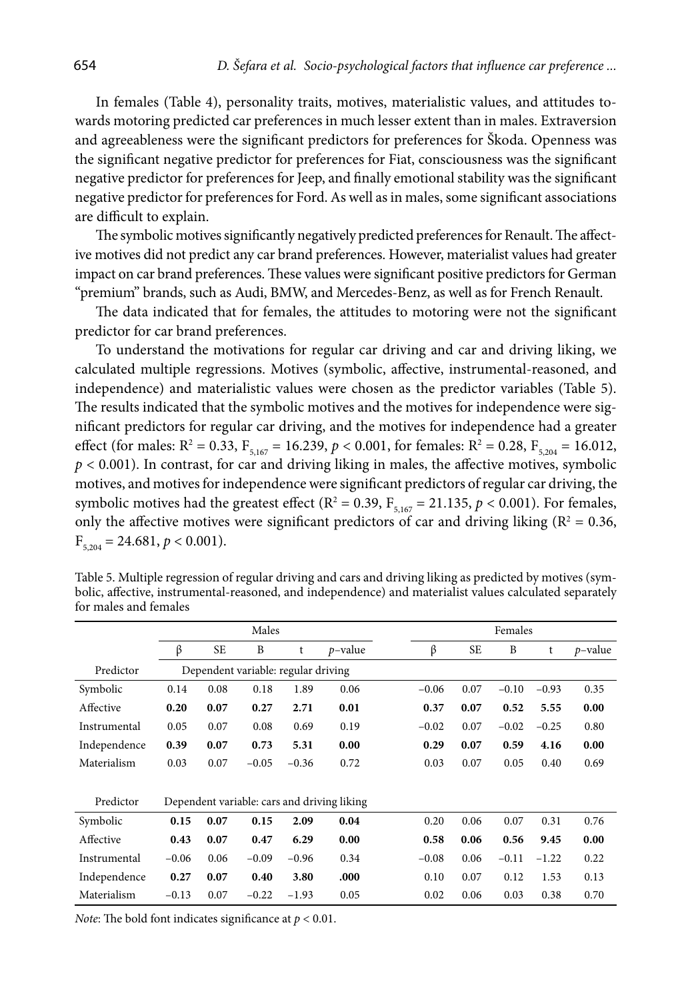In females (Table 4), personality traits, motives, materialistic values, and attitudes towards motoring predicted car preferences in much lesser extent than in males. Extraversion and agreeableness were the significant predictors for preferences for Škoda. Openness was the significant negative predictor for preferences for Fiat, consciousness was the significant negative predictor for preferences for Jeep, and finally emotional stability was the significant negative predictor for preferences for Ford. As well as in males, some significant associations are difficult to explain.

The symbolic motives significantly negatively predicted preferences for Renault. The affective motives did not predict any car brand preferences. However, materialist values had greater impact on car brand preferences. These values were significant positive predictors for German "premium" brands, such as Audi, BMW, and Mercedes-Benz, as well as for French Renault.

The data indicated that for females, the attitudes to motoring were not the significant predictor for car brand preferences.

To understand the motivations for regular car driving and car and driving liking, we calculated multiple regressions. Motives (symbolic, affective, instrumental-reasoned, and independence) and materialistic values were chosen as the predictor variables (Table 5). The results indicated that the symbolic motives and the motives for independence were significant predictors for regular car driving, and the motives for independence had a greater effect (for males:  $R^2 = 0.33$ ,  $F_{5,167} = 16.239$ ,  $p < 0.001$ , for females:  $R^2 = 0.28$ ,  $F_{5,204} = 16.012$ ,  $p < 0.001$ ). In contrast, for car and driving liking in males, the affective motives, symbolic motives, and motives for independence were significant predictors of regular car driving, the symbolic motives had the greatest effect ( $R^2 = 0.39$ ,  $F_{5,167} = 21.135$ ,  $p < 0.001$ ). For females, only the affective motives were significant predictors of car and driving liking ( $R^2 = 0.36$ ,  $F_{5,204} = 24.681, p < 0.001$ .

|              |         |           | Males                               |         |                                             |         |      | Females |         |            |
|--------------|---------|-----------|-------------------------------------|---------|---------------------------------------------|---------|------|---------|---------|------------|
|              | β       | <b>SE</b> | B                                   | t       | $p$ -value                                  | β       | SE   | B       | t       | $p$ -value |
| Predictor    |         |           | Dependent variable: regular driving |         |                                             |         |      |         |         |            |
| Symbolic     | 0.14    | 0.08      | 0.18                                | 1.89    | 0.06                                        | $-0.06$ | 0.07 | $-0.10$ | $-0.93$ | 0.35       |
| Affective    | 0.20    | 0.07      | 0.27                                | 2.71    | 0.01                                        | 0.37    | 0.07 | 0.52    | 5.55    | 0.00       |
| Instrumental | 0.05    | 0.07      | 0.08                                | 0.69    | 0.19                                        | $-0.02$ | 0.07 | $-0.02$ | $-0.25$ | 0.80       |
| Independence | 0.39    | 0.07      | 0.73                                | 5.31    | 0.00                                        | 0.29    | 0.07 | 0.59    | 4.16    | 0.00       |
| Materialism  | 0.03    | 0.07      | $-0.05$                             | $-0.36$ | 0.72                                        | 0.03    | 0.07 | 0.05    | 0.40    | 0.69       |
|              |         |           |                                     |         |                                             |         |      |         |         |            |
| Predictor    |         |           |                                     |         | Dependent variable: cars and driving liking |         |      |         |         |            |
| Symbolic     | 0.15    | 0.07      | 0.15                                | 2.09    | 0.04                                        | 0.20    | 0.06 | 0.07    | 0.31    | 0.76       |
| Affective    | 0.43    | 0.07      | 0.47                                | 6.29    | 0.00                                        | 0.58    | 0.06 | 0.56    | 9.45    | 0.00       |
| Instrumental | $-0.06$ | 0.06      | $-0.09$                             | $-0.96$ | 0.34                                        | $-0.08$ | 0.06 | $-0.11$ | $-1.22$ | 0.22       |
| Independence | 0.27    | 0.07      | 0.40                                | 3.80    | .000                                        | 0.10    | 0.07 | 0.12    | 1.53    | 0.13       |
| Materialism  | $-0.13$ | 0.07      | $-0.22$                             | $-1.93$ | 0.05                                        | 0.02    | 0.06 | 0.03    | 0.38    | 0.70       |

Table 5. Multiple regression of regular driving and cars and driving liking as predicted by motives (symbolic, affective, instrumental-reasoned, and independence) and materialist values calculated separately for males and females

*Note*: The bold font indicates significance at *p* < 0.01.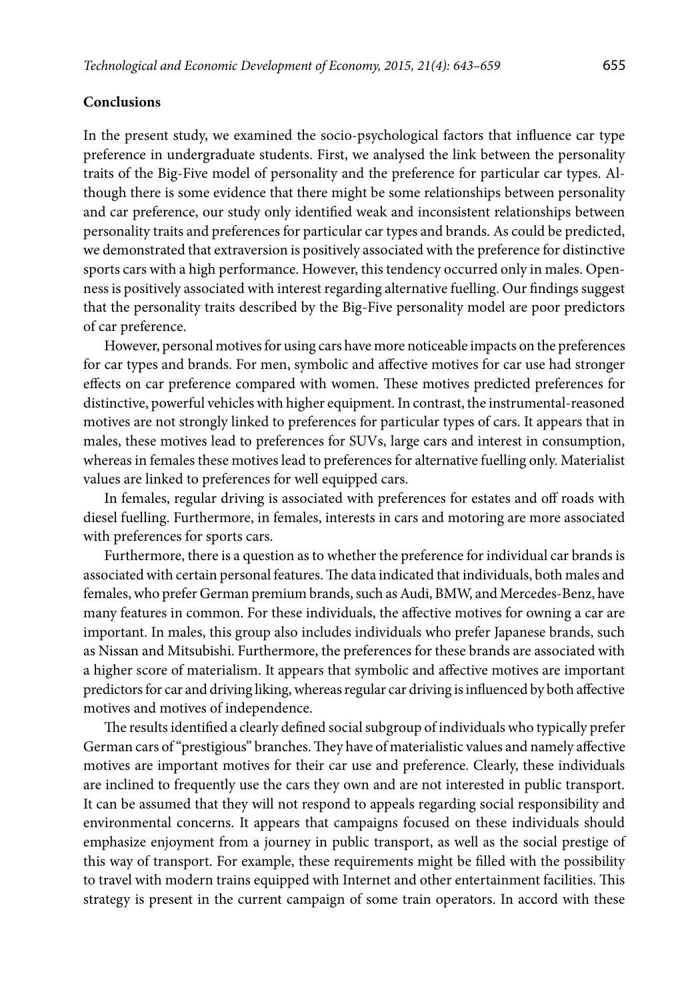#### **Conclusions**

In the present study, we examined the socio-psychological factors that influence car type preference in undergraduate students. First, we analysed the link between the personality traits of the Big-Five model of personality and the preference for particular car types. Although there is some evidence that there might be some relationships between personality and car preference, our study only identified weak and inconsistent relationships between personality traits and preferences for particular car types and brands. As could be predicted, we demonstrated that extraversion is positively associated with the preference for distinctive sports cars with a high performance. However, this tendency occurred only in males. Openness is positively associated with interest regarding alternative fuelling. Our findings suggest that the personality traits described by the Big-Five personality model are poor predictors of car preference.

However, personal motives for using cars have more noticeable impacts on the preferences for car types and brands. For men, symbolic and affective motives for car use had stronger effects on car preference compared with women. These motives predicted preferences for distinctive, powerful vehicles with higher equipment. In contrast, the instrumental-reasoned motives are not strongly linked to preferences for particular types of cars. It appears that in males, these motives lead to preferences for SUVs, large cars and interest in consumption, whereas in females these motives lead to preferences for alternative fuelling only. Materialist values are linked to preferences for well equipped cars.

In females, regular driving is associated with preferences for estates and off roads with diesel fuelling. Furthermore, in females, interests in cars and motoring are more associated with preferences for sports cars.

Furthermore, there is a question as to whether the preference for individual car brands is associated with certain personal features. The data indicated that individuals, both males and females, who prefer German premium brands, such as Audi, BMW, and Mercedes-Benz, have many features in common. For these individuals, the affective motives for owning a car are important. In males, this group also includes individuals who prefer Japanese brands, such as Nissan and Mitsubishi. Furthermore, the preferences for these brands are associated with a higher score of materialism. It appears that symbolic and affective motives are important predictors for car and driving liking, whereas regular car driving is influenced by both affective motives and motives of independence.

The results identified a clearly defined social subgroup of individuals who typically prefer German cars of "prestigious" branches. They have of materialistic values and namely affective motives are important motives for their car use and preference. Clearly, these individuals are inclined to frequently use the cars they own and are not interested in public transport. It can be assumed that they will not respond to appeals regarding social responsibility and environmental concerns. It appears that campaigns focused on these individuals should emphasize enjoyment from a journey in public transport, as well as the social prestige of this way of transport. For example, these requirements might be filled with the possibility to travel with modern trains equipped with Internet and other entertainment facilities. This strategy is present in the current campaign of some train operators. In accord with these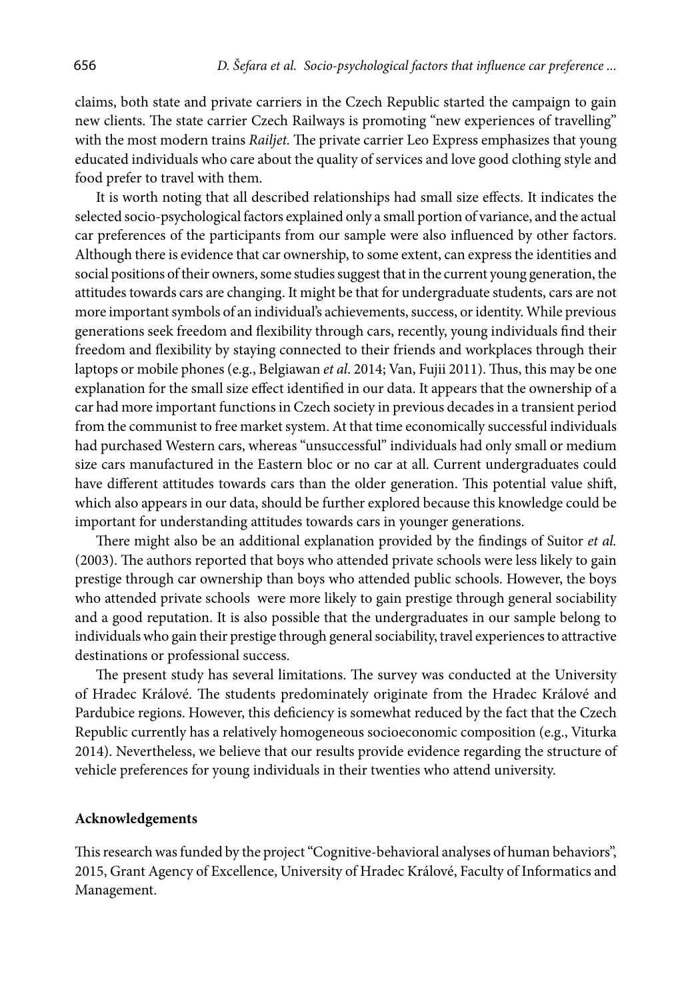claims, both state and private carriers in the Czech Republic started the campaign to gain new clients. The state carrier Czech Railways is promoting "new experiences of travelling" with the most modern trains *Railjet.* The private carrier Leo Express emphasizes that young educated individuals who care about the quality of services and love good clothing style and food prefer to travel with them.

It is worth noting that all described relationships had small size effects. It indicates the selected socio-psychological factors explained only a small portion of variance, and the actual car preferences of the participants from our sample were also influenced by other factors. Although there is evidence that car ownership, to some extent, can express the identities and social positions of their owners, some studies suggest that in the current young generation, the attitudes towards cars are changing. It might be that for undergraduate students, cars are not more important symbols of an individual's achievements, success, or identity. While previous generations seek freedom and flexibility through cars, recently, young individuals find their freedom and flexibility by staying connected to their friends and workplaces through their laptops or mobile phones (e.g., Belgiawan *et al*. 2014; Van, Fujii 2011). Thus, this may be one explanation for the small size effect identified in our data. It appears that the ownership of a car had more important functions in Czech society in previous decades in a transient period from the communist to free market system. At that time economically successful individuals had purchased Western cars, whereas "unsuccessful" individuals had only small or medium size cars manufactured in the Eastern bloc or no car at all. Current undergraduates could have different attitudes towards cars than the older generation. This potential value shift, which also appears in our data, should be further explored because this knowledge could be important for understanding attitudes towards cars in younger generations.

There might also be an additional explanation provided by the findings of Suitor *et al.* (2003). The authors reported that boys who attended private schools were less likely to gain prestige through car ownership than boys who attended public schools. However, the boys who attended private schools were more likely to gain prestige through general sociability and a good reputation. It is also possible that the undergraduates in our sample belong to individuals who gain their prestige through general sociability, travel experiences to attractive destinations or professional success.

The present study has several limitations. The survey was conducted at the University of Hradec Králové. The students predominately originate from the Hradec Králové and Pardubice regions. However, this deficiency is somewhat reduced by the fact that the Czech Republic currently has a relatively homogeneous socioeconomic composition (e.g., Viturka 2014). Nevertheless, we believe that our results provide evidence regarding the structure of vehicle preferences for young individuals in their twenties who attend university.

#### **Acknowledgements**

This research was funded by the project "Cognitive-behavioral analyses of human behaviors", 2015, Grant Agency of Excellence, University of Hradec Králové, Faculty of Informatics and Management.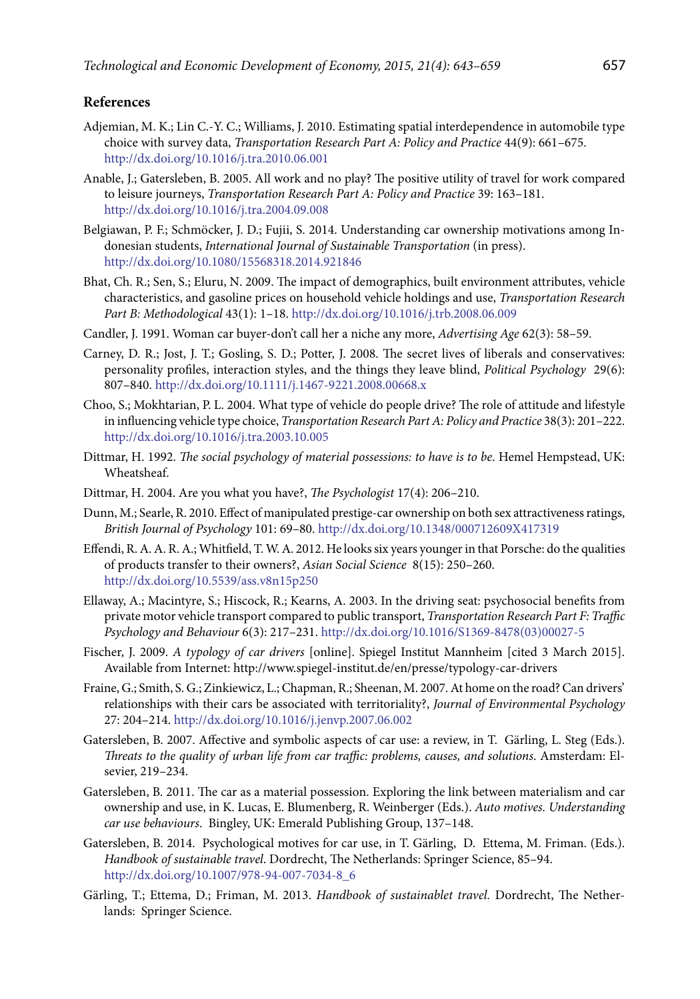#### **References**

- Adjemian, M. K.; Lin C.-Y. C.; Williams, J. 2010. Estimating spatial interdependence in automobile type choice with survey data, *Transportation Research Part A: Policy and Practice* 44(9): 661–675. <http://dx.doi.org/10.1016/j.tra.2010.06.001>
- Anable, J.; Gatersleben, B. 2005. All work and no play? The positive utility of travel for work compared to leisure journeys, *Transportation Research Part A: Policy and Practice* 39: 163–181. <http://dx.doi.org/10.1016/j.tra.2004.09.008>
- Belgiawan, P. F.; Schmöcker, J. D.; Fujii, S. 2014. Understanding car ownership motivations among Indonesian students, *International Journal of Sustainable Transportation* (in press). <http://dx.doi.org/10.1080/15568318.2014.921846>
- Bhat, Ch. R.; Sen, S.; Eluru, N. 2009. The impact of demographics, built environment attributes, vehicle characteristics, and gasoline prices on household vehicle holdings and use, *Transportation Research Part B: Methodological* 43(1): 1–18. <http://dx.doi.org/10.1016/j.trb.2008.06.009>
- Candler, J. 1991. Woman car buyer-don't call her a niche any more, *Advertising Age* 62(3): 58–59.
- Carney, D. R.; Jost, J. T.; Gosling, S. D.; Potter, J. 2008. The secret lives of liberals and conservatives: personality profiles, interaction styles, and the things they leave blind, *Political Psychology* 29(6): 807–840. <http://dx.doi.org/10.1111/j.1467-9221.2008.00668.x>
- Choo, S.; Mokhtarian, P. L. 2004. What type of vehicle do people drive? The role of attitude and lifestyle in influencing vehicle type choice, *Transportation Research Part A: Policy and Practice* 38(3): 201–222. <http://dx.doi.org/10.1016/j.tra.2003.10.005>
- Dittmar, H. 1992. *The social psychology of material possessions: to have is to be*. Hemel Hempstead, UK: Wheatsheaf.
- Dittmar, H. 2004. Are you what you have?, *The Psychologist* 17(4): 206–210.
- Dunn, M.; Searle, R. 2010. Effect of manipulated prestige-car ownership on both sex attractiveness ratings, *British Journal of Psychology* 101: 69–80.<http://dx.doi.org/10.1348/000712609X417319>
- Effendi, R. A. A. R. A.; Whitfield, T. W. A. 2012. He looks six years younger in that Porsche: do the qualities of products transfer to their owners?, *Asian Social Science* 8(15): 250–260. <http://dx.doi.org/10.5539/ass.v8n15p250>
- Ellaway, A.; Macintyre, S.; Hiscock, R.; Kearns, A. 2003. In the driving seat: psychosocial benefits from private motor vehicle transport compared to public transport, *Transportation Research Part F: Traffic Psychology and Behaviour* 6(3): 217–231. [http://dx.doi.org/10.1016/S1369-8478\(03\)00027-5](http://dx.doi.org/10.1016/S1369-8478(03)00027-5)
- Fischer, J. 2009. *A typology of car drivers* [online]. Spiegel Institut Mannheim [cited 3 March 2015]. Available from Internet: http://www.spiegel-institut.de/en/presse/typology-car-drivers
- Fraine, G.; Smith, S. G.; Zinkiewicz, L.; Chapman, R.; Sheenan, M. 2007. At home on the road? Can drivers' relationships with their cars be associated with territoriality?, *Journal of Environmental Psychology* 27: 204–214.<http://dx.doi.org/10.1016/j.jenvp.2007.06.002>
- Gatersleben, B. 2007. Affective and symbolic aspects of car use: a review, in T. Gärling, L. Steg (Eds.). *Threats to the quality of urban life from car traffic: problems, causes, and solutions*. Amsterdam: Elsevier, 219–234.
- Gatersleben, B. 2011. The car as a material possession. Exploring the link between materialism and car ownership and use, in K. Lucas, E. Blumenberg, R. Weinberger (Eds.). *Auto motives. Understanding car use behaviours*. Bingley, UK: Emerald Publishing Group, 137–148.
- Gatersleben, B. 2014. Psychological motives for car use, in T. Gärling, D. Ettema, M. Friman. (Eds.). *Handbook of sustainable travel*. Dordrecht, The Netherlands: Springer Science, 85–94. [http://dx.doi.org/10.1007/978-94-007-7034-8\\_6](http://dx.doi.org/10.1007/978-94-007-7034-8_6)
- Gärling, T.; Ettema, D.; Friman, M. 2013. *Handbook of sustainablet travel.* Dordrecht, The Netherlands: Springer Science.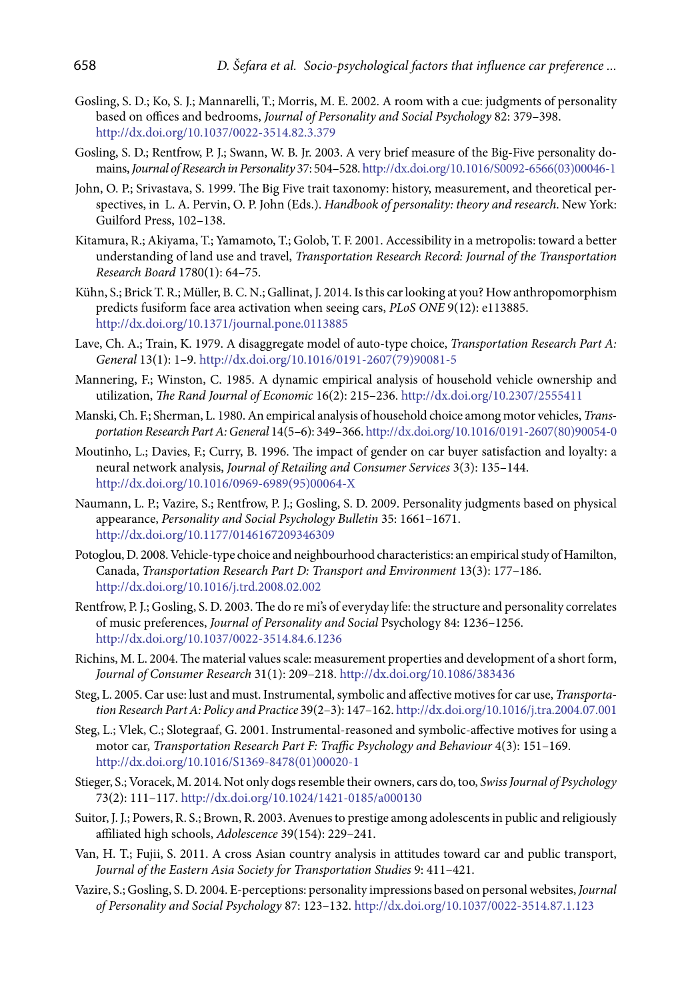- Gosling, S. D.; Ko, S. J.; Mannarelli, T.; Morris, M. E. 2002. A room with a cue: judgments of personality based on offices and bedrooms, *Journal of Personality and Social Psychology* 82: 379–398. <http://dx.doi.org/10.1037/0022-3514.82.3.379>
- Gosling, S. D.; Rentfrow, P. J.; Swann, W. B. Jr. 2003. A very brief measure of the Big-Five personality domains, *Journal of Research in Personality* 37: 504–528. [http://dx.doi.org/10.1016/S0092-6566\(03\)00046-1](http://dx.doi.org/10.1016/S0092-6566(03)00046-1)
- John, O. P.; Srivastava, S. 1999. The Big Five trait taxonomy: history, measurement, and theoretical perspectives, in L. A. Pervin, O. P. John (Eds.). *Handbook of personality: theory and research*. New York: Guilford Press, 102–138.
- Kitamura, R.; Akiyama, T.; Yamamoto, T.; Golob, T. F. 2001. Accessibility in a metropolis: toward a better understanding of land use and travel, *Transportation Research Record: Journal of the Transportation Research Board* 1780(1): 64–75.
- Kühn, S.; Brick T. R.; Müller, B. C. N.; Gallinat, J. 2014. Is this car looking at you? How anthropomorphism predicts fusiform face area activation when seeing cars, *PLoS ONE* 9(12): e113885. <http://dx.doi.org/10.1371/journal.pone.0113885>
- Lave, Ch. A.; Train, K. 1979. A disaggregate model of auto-type choice, *Transportation Research Part A: General* 13(1): 1–9. [http://dx.doi.org/10.1016/0191-2607\(79\)90081-5](http://dx.doi.org/10.1016/0191-2607(79)90081-5)
- Mannering, F.; Winston, C. 1985. A dynamic empirical analysis of household vehicle ownership and utilization, *The Rand Journal of Economic* 16(2): 215–236. <http://dx.doi.org/10.2307/2555411>
- Manski, Ch. F.; Sherman, L. 1980. An empirical analysis of household choice among motor vehicles, *Transportation Research Part A: General* 14(5–6): 349–366. [http://dx.doi.org/10.1016/0191-2607\(80\)90054-0](http://dx.doi.org/10.1016/0191-2607(80)90054-0)
- Moutinho, L.; Davies, F.; Curry, B. 1996. The impact of gender on car buyer satisfaction and loyalty: a neural network analysis, *Journal of Retailing and Consumer Services* 3(3): 135–144. [http://dx.doi.org/10.1016/0969-6989\(95\)00064-X](http://dx.doi.org/10.1016/0969-6989(95)00064-X)
- Naumann, L. P.; Vazire, S.; Rentfrow, P. J.; Gosling, S. D. 2009. Personality judgments based on physical appearance, *Personality and Social Psychology Bulletin* 35: 1661–1671. <http://dx.doi.org/10.1177/0146167209346309>
- Potoglou, D. 2008. Vehicle-type choice and neighbourhood characteristics: an empirical study of Hamilton, Canada, *Transportation Research Part D: Transport and Environment* 13(3): 177–186. <http://dx.doi.org/10.1016/j.trd.2008.02.002>
- Rentfrow, P. J.; Gosling, S. D. 2003. The do re mi's of everyday life: the structure and personality correlates of music preferences, *Journal of Personality and Social* Psychology 84: 1236–1256. <http://dx.doi.org/10.1037/0022-3514.84.6.1236>
- Richins, M. L. 2004. The material values scale: measurement properties and development of a short form, *Journal of Consumer Research* 31(1): 209–218.<http://dx.doi.org/10.1086/383436>
- Steg, L. 2005. Car use: lust and must. Instrumental, symbolic and affective motives for car use, *Transportation Research Part A: Policy and Practice* 39(2–3): 147–162.<http://dx.doi.org/10.1016/j.tra.2004.07.001>
- Steg, L.; Vlek, C.; Slotegraaf, G. 2001. Instrumental-reasoned and symbolic-affective motives for using a motor car, *Transportation Research Part F: Traffic Psychology and Behaviour* 4(3): 151–169. [http://dx.doi.org/10.1016/S1369-8478\(01\)00020-1](http://dx.doi.org/10.1016/S1369-8478(01)00020-1)
- Stieger, S.; Voracek, M. 2014. Not only dogs resemble their owners, cars do, too, *Swiss Journal of Psychology* 73(2): 111–117.<http://dx.doi.org/10.1024/1421-0185/a000130>
- Suitor, J. J.; Powers, R. S.; Brown, R. 2003. Avenues to prestige among adolescents in public and religiously affiliated high schools, *Adolescence* 39(154): 229–241.
- Van, H. T.; Fujii, S. 2011. A cross Asian country analysis in attitudes toward car and public transport, *Journal of the Eastern Asia Society for Transportation Studies* 9: 411–421.
- Vazire, S.; Gosling, S. D. 2004. E-perceptions: personality impressions based on personal websites, *Journal of Personality and Social Psychology* 87: 123–132.<http://dx.doi.org/10.1037/0022-3514.87.1.123>